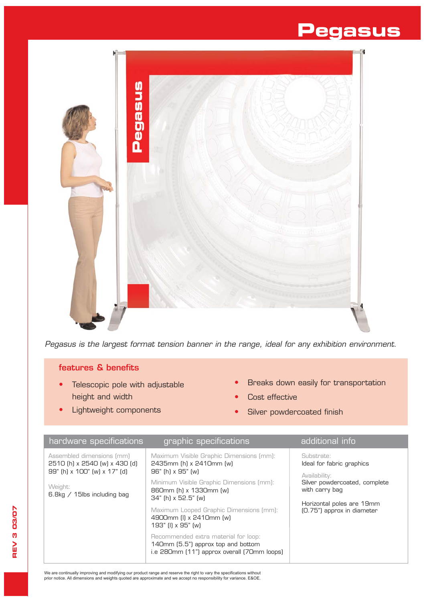## **Pegasus**



*Pegasus is the largest format tension banner in the range, ideal for any exhibition environment.*

## features & benefits

- Telescopic pole with adjustable height and width
- Lightweight components
- **•** Breaks down easily for transportation
- **•** Cost effective
- **•** Silver powdercoated finish

| hardware specifications                                                                                                                | graphic specifications                                                                                                                                                                                                                                                            | additional info                                                                                                                                                        |
|----------------------------------------------------------------------------------------------------------------------------------------|-----------------------------------------------------------------------------------------------------------------------------------------------------------------------------------------------------------------------------------------------------------------------------------|------------------------------------------------------------------------------------------------------------------------------------------------------------------------|
| Assembled dimensions (mm)<br>2510 (h) x 2540 (w) x 430 (d)<br>99" (h) x 100" (w) x 17" (d)<br>Weight:<br>6.8kg $/$ 15lbs including bag | Maximum Visible Graphic Dimensions (mm):<br>2435mm (h) x 2410mm (w)<br>96" (h) x 95" (w)<br>Minimum Visible Graphic Dimensions (mm):<br>860mm (h) x 1330mm (w)<br>34" (h) x 52.5" (w)<br>Maximum Looped Graphic Dimensions (mm):<br>4900mm (I) x 2410mm (w)<br>193" (I) x 95" (w) | Substrate:<br>Ideal for fabric graphics<br>Availability:<br>Silver powdercoated, complete<br>with carry bag<br>Horizontal poles are 19mm<br>(0.75") approx in diameter |
|                                                                                                                                        | Recommended extra material for loop:<br>140mm (5.5") approx top and bottom<br>i.e 280mm (11") approx overall (70mm loops)                                                                                                                                                         |                                                                                                                                                                        |

We are continually improving and modifying our product range and reserve the right to vary the specifications without<br>prior notice. All dimensions and weights quoted are approximate and we accept no responsibility for vari